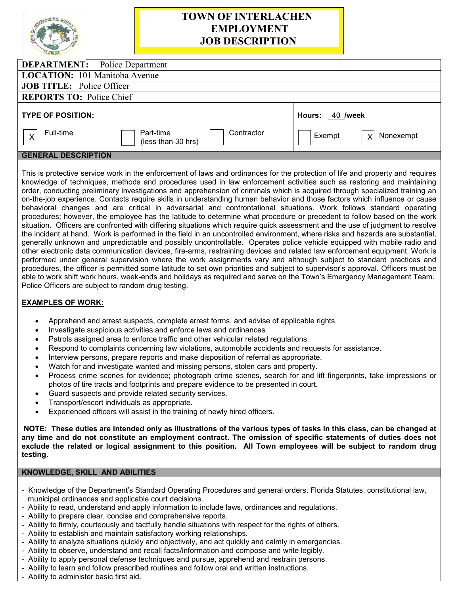|                                        | <b>TOWN OF INTERLACHEN</b><br><b>EMPLOYMENT</b><br><b>JOB DESCRIPTION</b> |        |                 |  |
|----------------------------------------|---------------------------------------------------------------------------|--------|-----------------|--|
| <b>DEPARTMENT:</b> Police Department   |                                                                           |        |                 |  |
| <b>LOCATION:</b> 101 Manitoba Avenue   |                                                                           |        |                 |  |
| <b>JOB TITLE:</b> Police Officer       |                                                                           |        |                 |  |
| <b>REPORTS TO: Police Chief</b>        |                                                                           |        |                 |  |
| <b>TYPE OF POSITION:</b>               |                                                                           |        | Hours: 40 /week |  |
| Full-time<br>$\boldsymbol{\mathsf{X}}$ | Contractor<br>Part-time<br>(less than 30 hrs)                             | Exempt | Nonexempt<br>X  |  |
| AFUERAL BEAARIBTIAU                    |                                                                           |        |                 |  |

## **GENERAL DESCRIPTION**

This is protective service work in the enforcement of laws and ordinances for the protection of life and property and requires knowledge of techniques, methods and procedures used in law enforcement activities such as restoring and maintaining order, conducting preliminary investigations and apprehension of criminals which is acquired through specialized training an on-the-job experience. Contacts require skills in understanding human behavior and those factors which influence or cause behavioral changes and are critical in adversarial and confrontational situations. Work follows standard operating procedures; however, the employee has the latitude to determine what procedure or precedent to follow based on the work situation. Officers are confronted with differing situations which require quick assessment and the use of judgment to resolve the incident at hand. Work is performed in the field in an uncontrolled environment, where risks and hazards are substantial, generally unknown and unpredictable and possibly uncontrollable. Operates police vehicle equipped with mobile radio and other electronic data communication devices, fire-arms, restraining devices and related law enforcement equipment. Work is performed under general supervision where the work assignments vary and although subject to standard practices and procedures, the officer is permitted some latitude to set own priorities and subject to supervisor's approval. Officers must be able to work shift work hours, week-ends and holidays as required and serve on the Town's Emergency Management Team. Police Officers are subject to random drug testing.

## **EXAMPLES OF WORK:**

- Apprehend and arrest suspects, complete arrest forms, and advise of applicable rights.
- Investigate suspicious activities and enforce laws and ordinances.
- Patrols assigned area to enforce traffic and other vehicular related regulations.
- Respond to complaints concerning law violations, automobile accidents and requests for assistance.
- Interview persons, prepare reports and make disposition of referral as appropriate.
- Watch for and investigate wanted and missing persons, stolen cars and property.
- Process crime scenes for evidence; photograph crime scenes, search for and lift fingerprints, take impressions or photos of tire tracts and footprints and prepare evidence to be presented in court.
- Guard suspects and provide related security services.
- Transport/escort individuals as appropriate.
- Experienced officers will assist in the training of newly hired officers.

**NOTE: These duties are intended only as illustrations of the various types of tasks in this class, can be changed at any time and do not constitute an employment contract. The omission of specific statements of duties does not exclude the related or logical assignment to this position. All Town employees will be subject to random drug testing.**

# **KNOWLEDGE, SKILL AND ABILITIES**

- Knowledge of the Department's Standard Operating Procedures and general orders, Florida Statutes, constitutional law, municipal ordinances and applicable court decisions.
- Ability to read, understand and apply information to include laws, ordinances and regulations.
- Ability to prepare clear, concise and comprehensive reports.
- Ability to firmly, courteously and tactfully handle situations with respect for the rights of others.
- Ability to establish and maintain satisfactory working relationships.
- Ability to analyze situations quickly and objectively, and act quickly and calmly in emergencies.
- Ability to observe, understand and recall facts/information and compose and write legibly.
- Ability to apply personal defense techniques and pursue, apprehend and restrain persons.
- Ability to learn and follow prescribed routines and follow oral and written instructions.
- Ability to administer basic first aid.